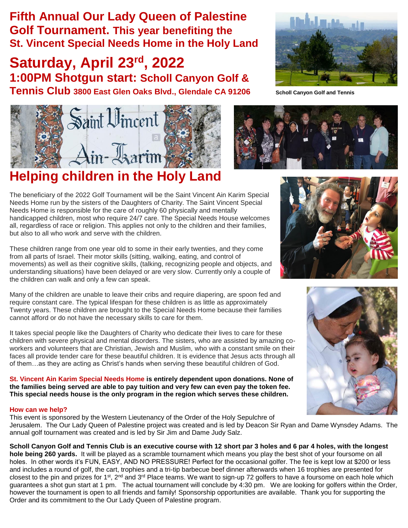**Fifth Annual Our Lady Queen of Palestine Golf Tournament. This year benefiting the St. Vincent Special Needs Home in the Holy Land**

**Saturday, April 23rd, 2022 1:00PM Shotgun start: Scholl Canyon Golf & Tennis Club** 3800 East Glen Oaks Blvd., Glendale CA 91206 Scholl Canyon Golf and Tennis



## **Helping children in the Holy Land**

The beneficiary of the 2022 Golf Tournament will be the Saint Vincent Ain Karim Special Needs Home run by the sisters of the Daughters of Charity. The Saint Vincent Special Needs Home is responsible for the care of roughly 60 physically and mentally handicapped children, most who require 24/7 care. The Special Needs House welcomes all, regardless of race or religion. This applies not only to the children and their families, but also to all who work and serve with the children.

These children range from one year old to some in their early twenties, and they come from all parts of Israel. Their motor skills (sitting, walking, eating, and control of movements) as well as their cognitive skills, (talking, recognizing people and objects, and understanding situations) have been delayed or are very slow. Currently only a couple of the children can walk and only a few can speak.

Many of the children are unable to leave their cribs and require diapering, are spoon fed and require constant care. The typical lifespan for these children is as little as approximately Twenty years. These children are brought to the Special Needs Home because their families cannot afford or do not have the necessary skills to care for them.

It takes special people like the Daughters of Charity who dedicate their lives to care for these children with severe physical and mental disorders. The sisters, who are assisted by amazing coworkers and volunteers that are Christian, Jewish and Muslim, who with a constant smile on their faces all provide tender care for these beautiful children. It is evidence that Jesus acts through all of them…as they are acting as Christ's hands when serving these beautiful children of God.

**St. Vincent Ain Karim Special Needs Home is entirely dependent upon donations. None of the families being served are able to pay tuition and very few can even pay the token fee. This special needs house is the only program in the region which serves these children.** 

## **How can we help?**

This event is sponsored by the Western Lieutenancy of the Order of the Holy Sepulchre of Jerusalem. The Our Lady Queen of Palestine project was created and is led by Deacon Sir Ryan and Dame Wynsdey Adams. The annual golf tournament was created and is led by Sir Jim and Dame Judy Salz.

**Scholl Canyon Golf and Tennis Club is an executive course with 12 short par 3 holes and 6 par 4 holes, with the longest hole being 260 yards.** It will be played as a scramble tournament which means you play the best shot of your foursome on all holes. In other words it's FUN, EASY, AND NO PRESSURE! Perfect for the occasional golfer. The fee is kept low at \$200 or less and includes a round of golf, the cart, trophies and a tri-tip barbecue beef dinner afterwards when 16 trophies are presented for closest to the pin and prizes for 1st, 2<sup>nd</sup> and 3<sup>rd</sup> Place teams. We want to sign-up 72 golfers to have a foursome on each hole which guarantees a shot gun start at 1 pm. The actual tournament will conclude by 4:30 pm. We are looking for golfers within the Order, however the tournament is open to all friends and family! Sponsorship opportunities are available. Thank you for supporting the Order and its commitment to the Our Lady Queen of Palestine program.